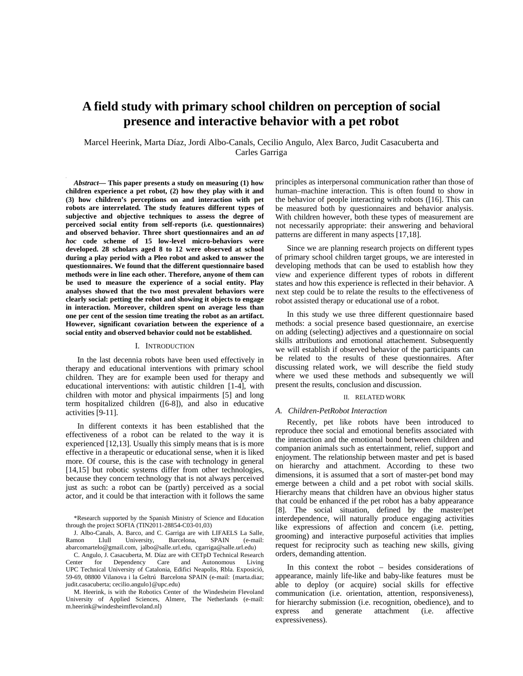# **A field study with primary school children on perception of social presence and interactive behavior with a pet robot**

Marcel Heerink, Marta Díaz, Jordi Albo-Canals, Cecilio Angulo, Alex Barco, Judit Casacuberta and Carles Garriga

*Abstract***— This paper presents a study on measuring (1) how children experience a pet robot, (2) how they play with it and (3) how children's perceptions on and interaction with pet robots are interrelated. The study features different types of subjective and objective techniques to assess the degree of perceived social entity from self-reports (i.e. questionnaires) and observed behavior. Three short questionnaires and an** *ad hoc* **code scheme of 15 low-level micro-behaviors were developed. 28 scholars aged 8 to 12 were observed at school during a play period with a Pleo robot and asked to answer the questionnaires. We found that the different questionnaire based methods were in line each other. Therefore, anyone of them can be used to measure the experience of a social entity. Play analyses showed that the two most prevalent behaviors were clearly social: petting the robot and showing it objects to engage in interaction. Moreover, children spent on average less than one per cent of the session time treating the robot as an artifact. However, significant covariation between the experience of a social entity and observed behavior could not be established.** 

# I. INTRODUCTION

In the last decennia robots have been used effectively in therapy and educational interventions with primary school children. They are for example been used for therapy and educational interventions: with autistic children [1-4], with children with motor and physical impairments [5] and long term hospitalized children ([6-8]), and also in educative activities [9-11].

In different contexts it has been established that the effectiveness of a robot can be related to the way it is experienced [12,13]. Usually this simply means that is is more effective in a therapeutic or educational sense, when it is liked more. Of course, this is the case with technology in general [14,15] but robotic systems differ from other technologies, because they concern technology that is not always perceived just as such: a robot can be (partly) perceived as a social actor, and it could be that interaction with it follows the same

M. Heerink, is with the Robotics Center of the Windesheim Flevoland University of Applied Sciences, Almere, The Netherlands (e-mail: m.heerink@windesheimflevoland.nl)

principles as interpersonal communication rather than those of human–machine interaction. This is often found to show in the behavior of people interacting with robots ([16]. This can be measured both by questionnaires and behavior analysis. With children however, both these types of measurement are not necessarily appropriate: their answering and behavioral patterns are different in many aspects [17,18].

Since we are planning research projects on different types of primary school children target groups, we are interested in developing methods that can be used to establish how they view and experience different types of robots in different states and how this experience is reflected in their behavior. A next step could be to relate the results to the effectiveness of robot assisted therapy or educational use of a robot.

In this study we use three different questionnaire based methods: a social presence based questionnaire, an exercise on adding (selecting) adjectives and a questionnaire on social skills attributions and emotional attachement. Subsequently we will establish if observed behavior of the participants can be related to the results of these questionnaires. After discussing related work, we will describe the field study where we used these methods and subsequently we will present the results, conclusion and discussion.

#### II. RELATED WORK

### *A. Children-PetRobot Interaction*

Recently, pet like robots have been introduced to reproduce thee social and emotional benefits associated with the interaction and the emotional bond between children and companion animals such as entertainment, relief, support and enjoyment. The relationship between master and pet is based on hierarchy and attachment. According to these two dimensions, it is assumed that a sort of master-pet bond may emerge between a child and a pet robot with social skills. Hierarchy means that children have an obvious higher status that could be enhanced if the pet robot has a baby appearance [8]. The social situation, defined by the master/pet interdependence, will naturally produce engaging activities like expressions of affection and concern (i.e. petting, grooming) and interactive purposeful activities that implies request for reciprocity such as teaching new skills, giving orders, demanding attention.

In this context the robot – besides considerations of appearance, mainly life-like and baby-like features must be able to deploy (or acquire) social skills for effective communication (i.e. orientation, attention, responsiveness), for hierarchy submission (i.e. recognition, obedience), and to express and generate attachment (i.e. affective expressiveness).

<sup>\*</sup>Research supported by the Spanish Ministry of Science and Education through the project SOFIA (TIN2011-28854-C03-01,03)

J. Albo-Canals, A. Barco, and C. Garriga are with LIFAELS La Salle, Ramon Llull University, Barcelona, SPAIN (e-mail: abarcomartelo@gmail.com, jalbo@salle.url.edu, cgarriga@salle.url.edu)

C. Angulo, J. Casacuberta, M. Díaz are with CETpD Technical Research Center for Dependency Care and Autonomous UPC Technical University of Catalonia, Edifici Neapolis, Rbla. Exposició, 59-69, 08800 Vilanova i la Geltrú Barcelona SPAIN (e-mail: {marta.diaz; judit.casacuberta; cecilio.angulo}@upc.edu)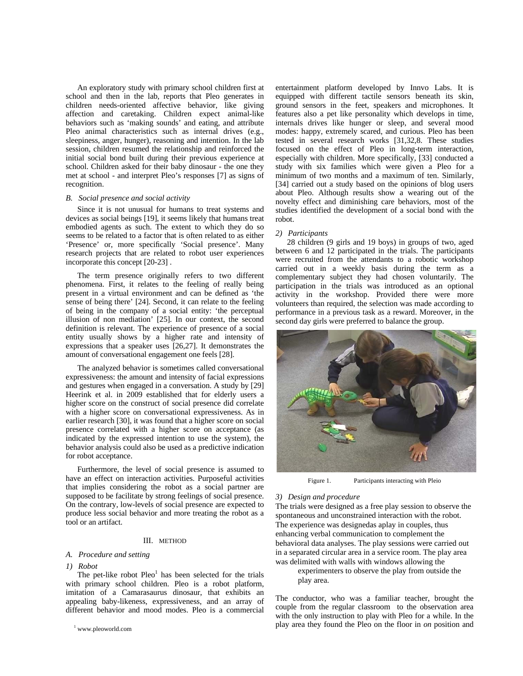An exploratory study with primary school children first at school and then in the lab, reports that Pleo generates in children needs-oriented affective behavior, like giving affection and caretaking. Children expect animal-like behaviors such as 'making sounds' and eating, and attribute Pleo animal characteristics such as internal drives (e.g., sleepiness, anger, hunger), reasoning and intention. In the lab session, children resumed the relationship and reinforced the initial social bond built during their previous experience at school. Children asked for their baby dinosaur - the one they met at school - and interpret Pleo's responses [7] as signs of recognition.

## *B. Social presence and social activity*

Since it is not unusual for humans to treat systems and devices as social beings [19], it seems likely that humans treat embodied agents as such. The extent to which they do so seems to be related to a factor that is often related to as either 'Presence' or, more specifically 'Social presence'. Many research projects that are related to robot user experiences incorporate this concept [20-23] .

The term presence originally refers to two different phenomena. First, it relates to the feeling of really being present in a virtual environment and can be defined as 'the sense of being there' [24]. Second, it can relate to the feeling of being in the company of a social entity: 'the perceptual illusion of non mediation' [25]. In our context, the second definition is relevant. The experience of presence of a social entity usually shows by a higher rate and intensity of expressions that a speaker uses [26,27]. It demonstrates the amount of conversational engagement one feels [28].

The analyzed behavior is sometimes called conversational expressiveness: the amount and intensity of facial expressions and gestures when engaged in a conversation. A study by [29] Heerink et al. in 2009 established that for elderly users a higher score on the construct of social presence did correlate with a higher score on conversational expressiveness. As in earlier research [30], it was found that a higher score on social presence correlated with a higher score on acceptance (as indicated by the expressed intention to use the system), the behavior analysis could also be used as a predictive indication for robot acceptance.

Furthermore, the level of social presence is assumed to have an effect on interaction activities. Purposeful activities that implies considering the robot as a social partner are supposed to be facilitate by strong feelings of social presence. On the contrary, low-levels of social presence are expected to produce less social behavior and more treating the robot as a tool or an artifact.

# III. METHOD

# *A. Procedure and setting*

#### *1) Robot*

The pet-like robot  $Pleo^1$  has been selected for the trials with primary school children. Pleo is a robot platform, imitation of a Camarasaurus dinosaur, that exhibits an appealing baby-likeness, expressiveness, and an array of different behavior and mood modes. Pleo is a commercial

entertainment platform developed by Innvo Labs. It is equipped with different tactile sensors beneath its skin, ground sensors in the feet, speakers and microphones. It features also a pet like personality which develops in time, internals drives like hunger or sleep, and several mood modes: happy, extremely scared, and curious. Pleo has been tested in several research works [31,32,8. These studies focused on the effect of Pleo in long-term interaction, especially with children. More specifically, [33] conducted a study with six families which were given a Pleo for a minimum of two months and a maximum of ten. Similarly, [34] carried out a study based on the opinions of blog users about Pleo. Although results show a wearing out of the novelty effect and diminishing care behaviors, most of the studies identified the development of a social bond with the robot.

#### *2) Participants*

28 children (9 girls and 19 boys) in groups of two, aged between 6 and 12 participated in the trials. The participants were recruited from the attendants to a robotic workshop carried out in a weekly basis during the term as a complementary subject they had chosen voluntarily. The participation in the trials was introduced as an optional activity in the workshop. Provided there were more volunteers than required, the selection was made according to performance in a previous task as a reward. Moreover, in the second day girls were preferred to balance the group.



Figure 1. Participants interacting with Pleio

#### *3) Design and procedure*

The trials were designed as a free play session to observe the spontaneous and unconstrained interaction with the robot. The experience was designedas aplay in couples, thus enhancing verbal communication to complement the behavioral data analyses. The play sessions were carried out in a separated circular area in a service room. The play area was delimited with walls with windows allowing the

experimenters to observe the play from outside the play area.

The conductor, who was a familiar teacher, brought the couple from the regular classroom to the observation area with the only instruction to play with Pleo for a while. In the play area they found the Pleo on the floor in *on* position and

<sup>1</sup> www.pleoworld.com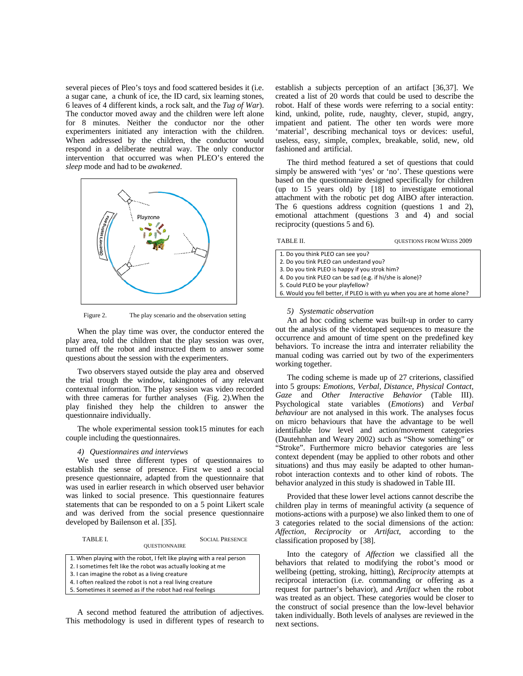several pieces of Pleo's toys and food scattered besides it (i.e. a sugar cane, a chunk of ice, the ID card, six learning stones, 6 leaves of 4 different kinds, a rock salt, and the *Tug of War*). The conductor moved away and the children were left alone for 8 minutes. Neither the conductor nor the other experimenters initiated any interaction with the children. When addressed by the children, the conductor would respond in a deliberate neutral way. The only conductor intervention that occurred was when PLEO's entered the *sleep* mode and had to be *awakened*.



Figure 2. The play scenario and the observation setting

When the play time was over, the conductor entered the play area, told the children that the play session was over, turned off the robot and instructed them to answer some questions about the session with the experimenters.

Two observers stayed outside the play area and observed the trial trough the window, takingnotes of any relevant contextual information. The play session was video recorded with three cameras for further analyses (Fig. 2).When the play finished they help the children to answer the questionnaire individually.

The whole experimental session took15 minutes for each couple including the questionnaires.

### *4) Questionnaires and interviews*

We used three different types of questionnaires to establish the sense of presence. First we used a social presence questionnaire, adapted from the questionnaire that was used in earlier research in which observed user behavior was linked to social presence. This questionnaire features statements that can be responded to on a 5 point Likert scale and was derived from the social presence questionnaire developed by Bailenson et al. [35].

| TABLE I. |                      | <b>SOCIAL PRESENCE</b> |
|----------|----------------------|------------------------|
|          | <b>OUESTIONNAIRE</b> |                        |

|  | 1. When playing with the robot, I felt like playing with a real person |  |
|--|------------------------------------------------------------------------|--|
|  |                                                                        |  |

- 2. I sometimes felt like the robot was actually looking at me
- 3. I can imagine the robot as a living creature
- 4. I often realized the robot is not a real living creature
- 5. Sometimes it seemed as if the robot had real feelings

A second method featured the attribution of adjectives. This methodology is used in different types of research to establish a subjects perception of an artifact [36,37]. We created a list of 20 words that could be used to describe the robot. Half of these words were referring to a social entity: kind, unkind, polite, rude, naughty, clever, stupid, angry, impatient and patient. The other ten words were more 'material', describing mechanical toys or devices: useful, useless, easy, simple, complex, breakable, solid, new, old fashioned and artificial.

The third method featured a set of questions that could simply be answered with 'yes' or 'no'. These questions were based on the questionnaire designed specifically for children (up to 15 years old) by [18] to investigate emotional attachment with the robotic pet dog AIBO after interaction. The 6 questions address cognition (questions 1 and 2), emotional attachment (questions 3 and 4) and social reciprocity (questions 5 and 6).

TABLE II. QUESTIONS FROM WEISS 2009

- 1. Do you think PLEO can see you?
- 2. Do you tink PLEO can undestand you?
- 3. Do you tink PLEO is happy if you strok him?
- 4. Do you tink PLEO can be sad (e.g. if hi/she is alone)?
- 5. Could PLEO be your playfellow?
- 6. Would you fell better, if PLEO is with yu when you are at home alone?

# *5) Systematic observation*

An ad hoc coding scheme was built-up in order to carry out the analysis of the videotaped sequences to measure the occurrence and amount of time spent on the predefined key behaviors. To increase the intra and interrater reliability the manual coding was carried out by two of the experimenters working together.

The coding scheme is made up of 27 criterions, classified into 5 groups: *Emotions, Verbal, Distance, Physical Contact, Gaze* and *Other Interactive Behavior* (Table III). Psychological state variables (*Emotions*) and *Verbal behaviour* are not analysed in this work. The analyses focus on micro behaviours that have the advantage to be well identifiable low level and action/movement categories (Dautehnhan and Weary 2002) such as "Show something" or "Stroke". Furthermore micro behavior categories are less context dependent (may be applied to other robots and other situations) and thus may easily be adapted to other humanrobot interaction contexts and to other kind of robots. The behavior analyzed in this study is shadowed in Table III.

Provided that these lower level actions cannot describe the children play in terms of meaningful activity (a sequence of motions-actions with a purpose) we also linked them to one of 3 categories related to the social dimensions of the action: *Affection*, *Reciprocity* or *Artifact*, according to the classification proposed by [38].

Into the category of *Affection* we classified all the behaviors that related to modifying the robot's mood or wellbeing (petting, stroking, hitting), *Reciprocity* attempts at reciprocal interaction (i.e. commanding or offering as a request for partner's behavior), and *Artifact* when the robot was treated as an object. These categories would be closer to the construct of social presence than the low-level behavior taken individually. Both levels of analyses are reviewed in the next sections.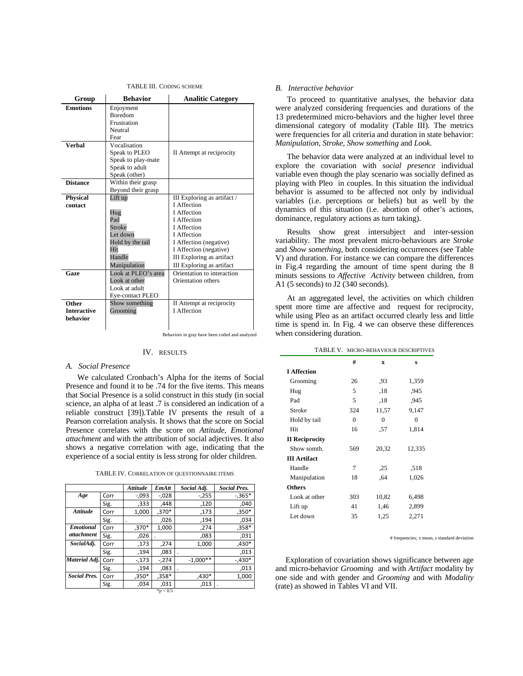| <b>Behavior</b><br>Group |                     | <b>Analitic Category</b>                       |
|--------------------------|---------------------|------------------------------------------------|
| <b>Emotions</b>          | Enjoyment           |                                                |
|                          | <b>Boredom</b>      |                                                |
|                          | Frustration         |                                                |
|                          | Neutral             |                                                |
|                          | Fear                |                                                |
| Verhal                   | Vocalisation        |                                                |
|                          | Speak to PLEO       | II Attempt at reciprocity                      |
|                          | Speak to play-mate  |                                                |
|                          | Speak to adult      |                                                |
|                          | Speak (other)       |                                                |
| <b>Distance</b>          | Within their grasp  |                                                |
|                          | Beyond their grasp  |                                                |
| <b>Physical</b>          | Lift up             | III Exploring as artifact /                    |
| contact                  |                     | <b>I</b> Affection                             |
|                          | Hug                 | <b>I</b> Affection                             |
|                          | Pad                 | <b>I</b> Affection                             |
|                          | Stroke              | <b>I</b> Affection                             |
|                          | Let down            | <b>I</b> Affection                             |
|                          | Hold by the tail    | I Affection (negative)                         |
|                          | Hit                 | I Affection (negative)                         |
|                          | Handle              | <b>III</b> Exploring as artifact               |
|                          | Manipulation        | III Exploring as artifact                      |
| Gaze                     | Look at PLEO's area | Orientation to interaction                     |
|                          | Look at other       | Orientation others                             |
|                          | Look at adult       |                                                |
|                          | Eye-contact PLEO    |                                                |
| Other                    | Show something      | II Attempt at reciprocity                      |
| <b>Interactive</b>       | Grooming            | <b>I</b> Affection                             |
| hehavior                 |                     |                                                |
|                          |                     |                                                |
|                          |                     | Behaviors in gray have been coded and analyzed |

TABLE III. CODING SCHEME

# IV. RESULTS

# *A. Social Presence*

We calculated Cronbach's Alpha for the items of Social Presence and found it to be .74 for the five items. This means that Social Presence is a solid construct in this study (in social science, an alpha of at least .7 is considered an indication of a reliable construct [39]).Table IV presents the result of a Pearson correlation analysis. It shows that the score on Social Presence correlates with the score on *Attitude*, *Emotional attachment* and with the attribution of social adjectives. It also shows a negative correlation with age, indicating that the experience of a social entity is less strong for older children.

|  | TABLE IV. CORRELATION OF QUESTIONNAIRE ITEMS |  |
|--|----------------------------------------------|--|
|--|----------------------------------------------|--|

|                     |      | <b>Attitude</b> | EmAtt      | Social Adj. | <b>Social Pres.</b> |  |  |  |  |
|---------------------|------|-----------------|------------|-------------|---------------------|--|--|--|--|
| Age                 | Corr | $-.093$         | $-.028$    | $-255$      | $-0.365*$           |  |  |  |  |
|                     | Sig. | ,333            | .448       | ,120        | .040                |  |  |  |  |
| <b>Attitude</b>     | Corr | 1,000           | $,370*$    | ,173        | $,350*$             |  |  |  |  |
|                     | Sig. |                 | ,026       | .194        | .034                |  |  |  |  |
| <b>Emotional</b>    | Corr | $,370*$         | 1,000      | ,274        | $,358*$             |  |  |  |  |
| <i>attachment</i>   | Sig. | .026            |            | ,083        | .031                |  |  |  |  |
| SocialAdj.          | Corr | .173            | .274       | 1,000       | $,430*$             |  |  |  |  |
|                     | Sig. | .194            | .083       |             | .013                |  |  |  |  |
| Material Adj.       | Corr | $-.173$         | $-.274$    | $-1,000**$  | $-.430*$            |  |  |  |  |
|                     | Sig. | .194            | ,083       |             | ,013                |  |  |  |  |
| <b>Social Pres.</b> | Corr | $.350*$         | $.358*$    | $,430*$     | 1,000               |  |  |  |  |
|                     | Sig. | .034            | ,031       | ,013        |                     |  |  |  |  |
|                     |      |                 | $*p < 0.5$ |             |                     |  |  |  |  |

# *B. Interactive behavior*

To proceed to quantitative analyses, the behavior data were analyzed considering frequencies and durations of the 13 predetermined micro-behaviors and the higher level three dimensional category of modality (Table III). The metrics were frequencies for all criteria and duration in state behavior: *Manipulation, Stroke, Show something* and *Look.* 

The behavior data were analyzed at an individual level to explore the covariation with *social presence* individual variable even though the play scenario was socially defined as playing with Pleo in couples. In this situation the individual behavior is assumed to be affected not only by individual variables (i.e. perceptions or beliefs) but as well by the dynamics of this situation (i.e. abortion of other's actions, dominance, regulatory actions as turn taking).

Results show great intersubject and inter-session variability. The most prevalent micro-behaviours are *Stroke* and *Show something*, both considering occurrences (see Table V) and duration. For instance we can compare the differences in Fig.4 regarding the amount of time spent during the 8 minuts sessions to *Affective Activity* between children, from A1 (5 seconds) to J2 (340 seconds).

At an aggregated level, the activities on which children spent more time are affective and request for reciprocity, while using Pleo as an artifact occurred clearly less and little time is spend in. In Fig. 4 we can observe these differences when considering duration.

|                       |          |          | TABLE V. MICRO-BEHAVIOUR DESCRIPTIVES |
|-----------------------|----------|----------|---------------------------------------|
|                       | #        | X        | s                                     |
| <b>I</b> Affection    |          |          |                                       |
| Grooming              | 26       | ,93      | 1,359                                 |
| Hug                   | 5        | ,18      | .945                                  |
| Pad                   | 5        | .18      | .945                                  |
| Stroke                | 324      | 11,57    | 9,147                                 |
| Hold by tail          | $\Omega$ | $\theta$ | $\theta$                              |
| Hit                   | 16       | ,57      | 1,814                                 |
| <b>II Reciprocity</b> |          |          |                                       |
| Show somth.           | 569      | 20,32    | 12,335                                |
| <b>III Artifact</b>   |          |          |                                       |
| Handle                | 7        | ,25      | .518                                  |
| Manipulation          | 18       | .64      | 1,026                                 |
| <b>Others</b>         |          |          |                                       |
| Look at other         | 303      | 10,82    | 6,498                                 |
| Lift up               | 41       | 1,46     | 2,899                                 |
| Let down              | 35       | 1,25     | 2,271                                 |
|                       |          |          |                                       |

# frequencies; x mean, s standard deviation

 Exploration of covariation shows significance between age and micro-behavior *Grooming* and with *Artifact* modality by one side and with gender and *Grooming* and with *Modality* (rate) as showed in Tables VI and VII.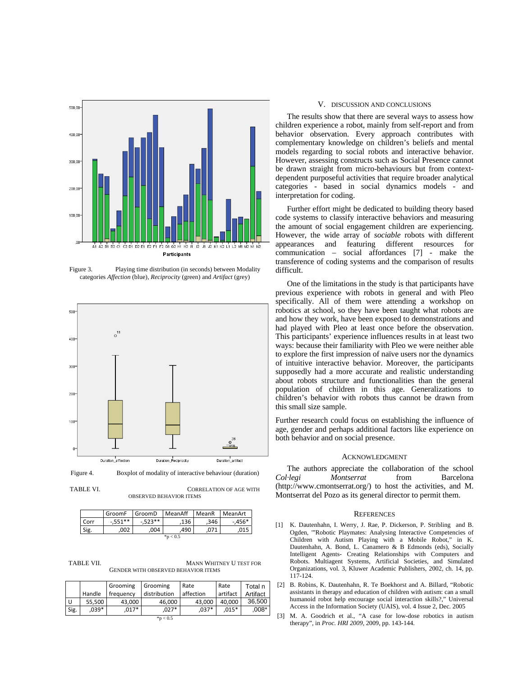

Figure 3. Playing time distribution (in seconds) between Modality categories *Affection* (blue), *Reciprocity* (green) and *Artifact* (grey)



Figure 4. Boxplot of modality of interactive behaviour (duration)

TABLE VI. CORRELATION OF AGE WITH OBSERVED BEHAVIOR ITEMS

|               | GroomF    | GroomD     | MeanAff | Mean <sub>R</sub> | MeanArt  |
|---------------|-----------|------------|---------|-------------------|----------|
| Corr          | $-.551**$ | $-0.523**$ | .136    | .346              | $-.456*$ |
| Sig.          | .002      | .004       | 490     | .071              | .015     |
| $*_{p}$ < 0.5 |           |            |         |                   |          |

TABLE VII. MANN WHITNEY U TEST FOR GENDER WITH OBSERVED BEHAVIOR ITEMS

|      |         | Grooming  | Grooming     | Rate      | Rate     | Total n  |
|------|---------|-----------|--------------|-----------|----------|----------|
|      | Handle  | frequency | distribution | affection | artifact | Artifact |
| U    | 55.500  | 43.000    | 46,000       | 43.000    | 40.000   | 36.500   |
| Sig. | $.039*$ | $.017*$   | $.027*$      | $.037*$   | $.015*$  | $008*$   |
|      |         |           | $*n < 0.5$   |           |          |          |

# V. DISCUSSION AND CONCLUSIONS

The results show that there are several ways to assess how children experience a robot, mainly from self-report and from behavior observation. Every approach contributes with complementary knowledge on children's beliefs and mental models regarding to social robots and interactive behavior. However, assessing constructs such as Social Presence cannot be drawn straight from micro-behaviours but from contextdependent purposeful activities that require broader analytical categories - based in social dynamics models - and interpretation for coding.

Further effort might be dedicated to building theory based code systems to classify interactive behaviors and measuring the amount of social engagement children are experiencing. However, the wide array of *sociable* robots with different appearances and featuring different resources for communication – social affordances [7] - make the transference of coding systems and the comparison of results difficult.

One of the limitations in the study is that participants have previous experience with robots in general and with Pleo specifically. All of them were attending a workshop on robotics at school, so they have been taught what robots are and how they work, have been exposed to demonstrations and had played with Pleo at least once before the observation. This participants' experience influences results in at least two ways: because their familiarity with Pleo we were neither able to explore the first impression of naïve users nor the dynamics of intuitive interactive behavior. Moreover, the participants supposedly had a more accurate and realistic understanding about robots structure and functionalities than the general population of children in this age. Generalizations to children's behavior with robots thus cannot be drawn from this small size sample.

Further research could focus on establishing the influence of age, gender and perhaps additional factors like experience on both behavior and on social presence.

#### ACKNOWLEDGMENT

The authors appreciate the collaboration of the school *Col·legi Montserrat* from Barcelona (http://www.cmontserrat.org/) to host the activities, and M. Montserrat del Pozo as its general director to permit them.

#### **REFERENCES**

- [1] K. Dautenhahn, I. Werry, J. Rae, P. Dickerson, P. Stribling and B. Ogden, '"Robotic Playmates: Analysing Interactive Competencies of Children with Autism Playing with a Mobile Robot," in K. Dautenhahn, A. Bond, L. Canamero & B Edmonds (eds), Socially Intelligent Agents- Creating Relationships with Computers and Robots. Multiagent Systems, Artificial Societies, and Simulated Organizations, vol. 3, Kluwer Academic Publishers, 2002, ch. 14, pp. 117-124.
- [2] B. Robins, K. Dautenhahn, R. Te Boekhorst and A. Billard, "Robotic assistants in therapy and education of children with autism: can a small humanoid robot help encourage social interaction skills?," Universal Access in the Information Society (UAIS), vol. 4 Issue 2, Dec. 2005
- [3] M. A. Goodrich et al., "A case for low-dose robotics in autism therapy", in *Proc. HRI 2009*, 2009, pp. 143-144.